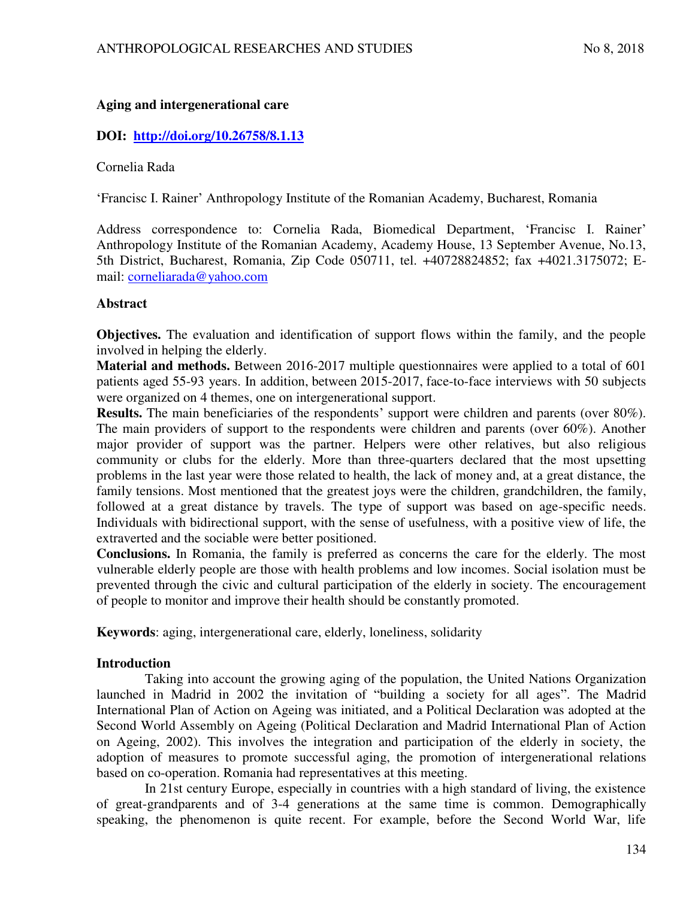# **Aging and intergenerational care**

## **DOI: <http://doi.org/10.26758/8.1.13>**

Cornelia Rada

'Francisc I. Rainer' Anthropology Institute of the Romanian Academy, Bucharest, Romania

Address correspondence to: Cornelia Rada, Biomedical Department, 'Francisc I. Rainer' Anthropology Institute of the Romanian Academy, Academy House, 13 September Avenue, No.13, 5th District, Bucharest, Romania, Zip Code 050711, tel. +40728824852; fax +4021.3175072; Email: [corneliarada@yahoo.com](mailto:corneliarada@yahoo.com) 

### **Abstract**

**Objectives.** The evaluation and identification of support flows within the family, and the people involved in helping the elderly.

**Material and methods.** Between 2016-2017 multiple questionnaires were applied to a total of 601 patients aged 55-93 years. In addition, between 2015-2017, face-to-face interviews with 50 subjects were organized on 4 themes, one on intergenerational support.

**Results.** The main beneficiaries of the respondents' support were children and parents (over 80%). The main providers of support to the respondents were children and parents (over 60%). Another major provider of support was the partner. Helpers were other relatives, but also religious community or clubs for the elderly. More than three-quarters declared that the most upsetting problems in the last year were those related to health, the lack of money and, at a great distance, the family tensions. Most mentioned that the greatest joys were the children, grandchildren, the family, followed at a great distance by travels. The type of support was based on age-specific needs. Individuals with bidirectional support, with the sense of usefulness, with a positive view of life, the extraverted and the sociable were better positioned.

**Conclusions.** In Romania, the family is preferred as concerns the care for the elderly. The most vulnerable elderly people are those with health problems and low incomes. Social isolation must be prevented through the civic and cultural participation of the elderly in society. The encouragement of people to monitor and improve their health should be constantly promoted.

**Keywords**: aging, intergenerational care, elderly, loneliness, solidarity

### **Introduction**

Taking into account the growing aging of the population, the United Nations Organization launched in Madrid in 2002 the invitation of "building a society for all ages". The Madrid International Plan of Action on Ageing was initiated, and a Political Declaration was adopted at the Second World Assembly on Ageing (Political Declaration and Madrid International Plan of Action on Ageing, 2002). This involves the integration and participation of the elderly in society, the adoption of measures to promote successful aging, the promotion of intergenerational relations based on co-operation. Romania had representatives at this meeting.

In 21st century Europe, especially in countries with a high standard of living, the existence of great-grandparents and of 3-4 generations at the same time is common. Demographically speaking, the phenomenon is quite recent. For example, before the Second World War, life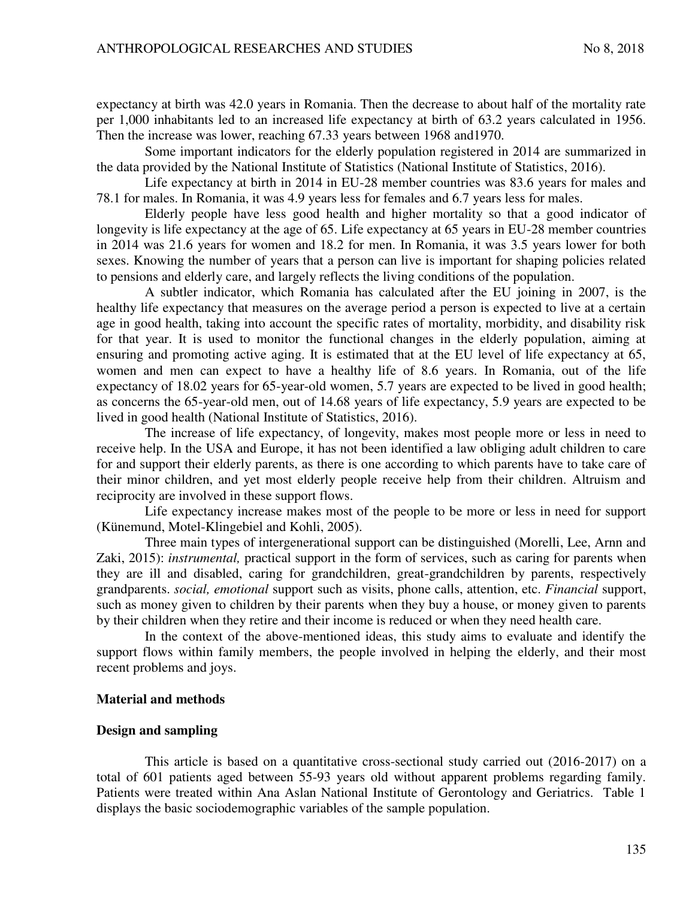expectancy at birth was 42.0 years in Romania. Then the decrease to about half of the mortality rate per 1,000 inhabitants led to an increased life expectancy at birth of 63.2 years calculated in 1956. Then the increase was lower, reaching 67.33 years between 1968 and1970.

Some important indicators for the elderly population registered in 2014 are summarized in the data provided by the National Institute of Statistics (National Institute of Statistics, 2016).

Life expectancy at birth in 2014 in EU-28 member countries was 83.6 years for males and 78.1 for males. In Romania, it was 4.9 years less for females and 6.7 years less for males.

Elderly people have less good health and higher mortality so that a good indicator of longevity is life expectancy at the age of 65. Life expectancy at 65 years in EU-28 member countries in 2014 was 21.6 years for women and 18.2 for men. In Romania, it was 3.5 years lower for both sexes. Knowing the number of years that a person can live is important for shaping policies related to pensions and elderly care, and largely reflects the living conditions of the population.

A subtler indicator, which Romania has calculated after the EU joining in 2007, is the healthy life expectancy that measures on the average period a person is expected to live at a certain age in good health, taking into account the specific rates of mortality, morbidity, and disability risk for that year. It is used to monitor the functional changes in the elderly population, aiming at ensuring and promoting active aging. It is estimated that at the EU level of life expectancy at 65, women and men can expect to have a healthy life of 8.6 years. In Romania, out of the life expectancy of 18.02 years for 65-year-old women, 5.7 years are expected to be lived in good health; as concerns the 65-year-old men, out of 14.68 years of life expectancy, 5.9 years are expected to be lived in good health (National Institute of Statistics, 2016).

The increase of life expectancy, of longevity, makes most people more or less in need to receive help. In the USA and Europe, it has not been identified a law obliging adult children to care for and support their elderly parents, as there is one according to which parents have to take care of their minor children, and yet most elderly people receive help from their children. Altruism and reciprocity are involved in these support flows.

Life expectancy increase makes most of the people to be more or less in need for support (Künemund, Motel-Klingebiel and Kohli, 2005).

Three main types of intergenerational support can be distinguished (Morelli, Lee, Arnn and Zaki, 2015): *instrumental,* practical support in the form of services, such as caring for parents when they are ill and disabled, caring for grandchildren, great-grandchildren by parents, respectively grandparents. *social, emotional* support such as visits, phone calls, attention, etc. *Financial* support, such as money given to children by their parents when they buy a house, or money given to parents by their children when they retire and their income is reduced or when they need health care.

In the context of the above-mentioned ideas, this study aims to evaluate and identify the support flows within family members, the people involved in helping the elderly, and their most recent problems and joys.

#### **Material and methods**

#### **Design and sampling**

This article is based on a quantitative cross-sectional study carried out (2016-2017) on a total of 601 patients aged between 55-93 years old without apparent problems regarding family. Patients were treated within Ana Aslan National Institute of Gerontology and Geriatrics. Table 1 displays the basic sociodemographic variables of the sample population.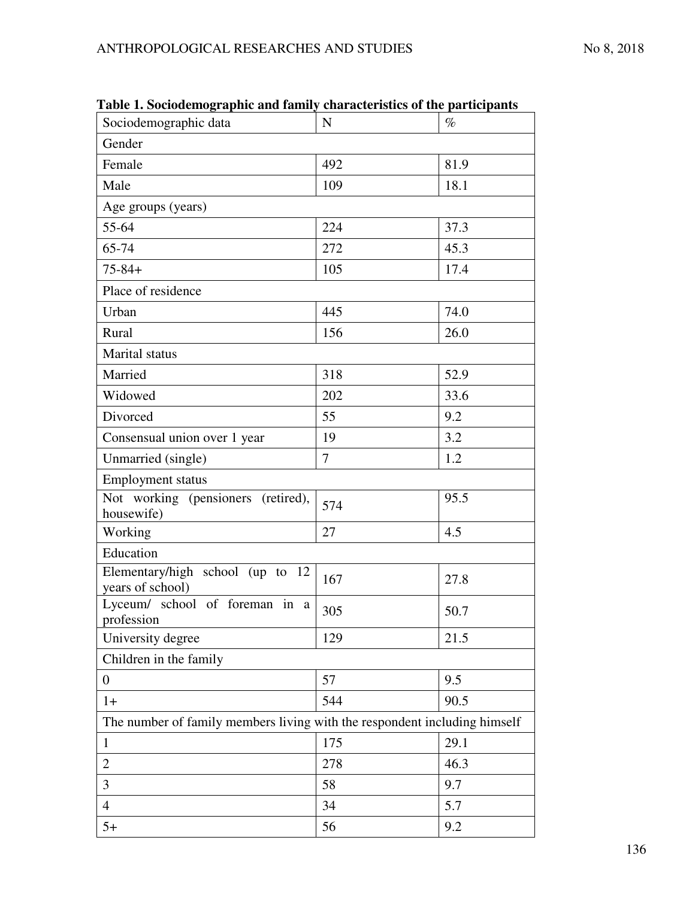| Sociodemographic data                                                     | $\mathbf N$ | $\%$ |  |  |  |
|---------------------------------------------------------------------------|-------------|------|--|--|--|
| Gender                                                                    |             |      |  |  |  |
| Female                                                                    | 492         | 81.9 |  |  |  |
| Male                                                                      | 109         | 18.1 |  |  |  |
| Age groups (years)                                                        |             |      |  |  |  |
| 55-64                                                                     | 224         | 37.3 |  |  |  |
| 65-74                                                                     | 272         | 45.3 |  |  |  |
| $75 - 84 +$                                                               | 105         | 17.4 |  |  |  |
| Place of residence                                                        |             |      |  |  |  |
| Urban                                                                     | 445         | 74.0 |  |  |  |
| Rural                                                                     | 156         | 26.0 |  |  |  |
| Marital status                                                            |             |      |  |  |  |
| Married                                                                   | 318         | 52.9 |  |  |  |
| Widowed                                                                   | 202         | 33.6 |  |  |  |
| Divorced                                                                  | 55          | 9.2  |  |  |  |
| Consensual union over 1 year                                              | 19          | 3.2  |  |  |  |
| Unmarried (single)                                                        | 7           | 1.2  |  |  |  |
| <b>Employment status</b>                                                  |             |      |  |  |  |
| Not working (pensioners (retired),<br>housewife)                          | 574         | 95.5 |  |  |  |
| Working                                                                   | 27          | 4.5  |  |  |  |
| Education                                                                 |             |      |  |  |  |
| Elementary/high school (up to 12<br>years of school)                      | 167         | 27.8 |  |  |  |
| Lyceum/ school of foreman in a<br>profession                              | 305         | 50.7 |  |  |  |
| University degree                                                         | 129         | 21.5 |  |  |  |
| Children in the family                                                    |             |      |  |  |  |
| $\overline{0}$                                                            | 57          | 9.5  |  |  |  |
| $1+$                                                                      | 544         | 90.5 |  |  |  |
| The number of family members living with the respondent including himself |             |      |  |  |  |
| $\mathbf{1}$                                                              | 175         | 29.1 |  |  |  |
| $\mathbf{2}$                                                              | 278         | 46.3 |  |  |  |
| $\overline{3}$                                                            | 58          | 9.7  |  |  |  |
| $\overline{4}$                                                            | 34          | 5.7  |  |  |  |
| $5+$                                                                      | 56          | 9.2  |  |  |  |

**Table 1. Sociodemographic and family characteristics of the participants**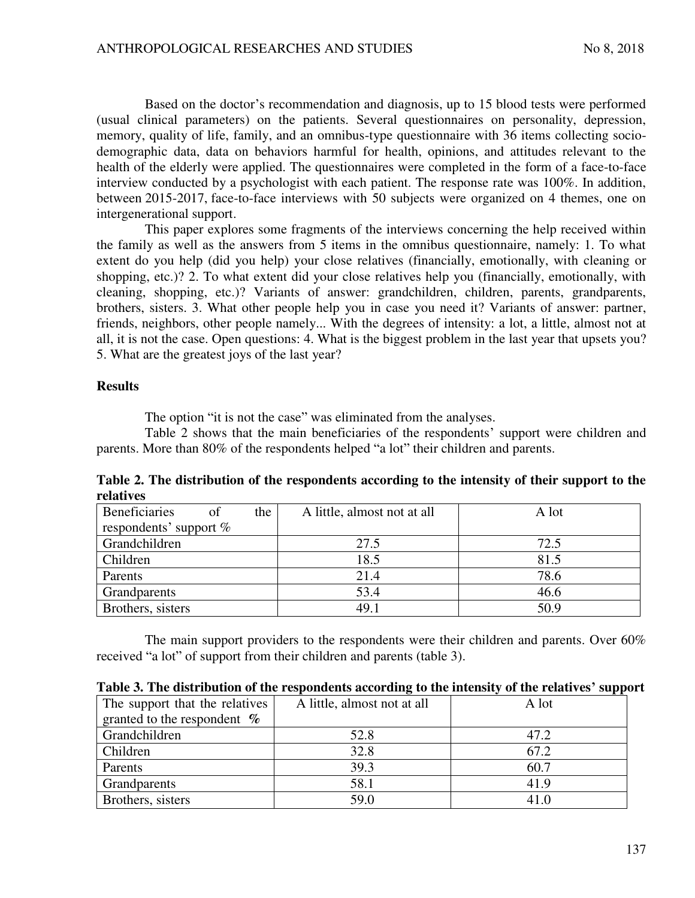Based on the doctor's recommendation and diagnosis, up to 15 blood tests were performed (usual clinical parameters) on the patients. Several questionnaires on personality, depression, memory, quality of life, family, and an omnibus-type questionnaire with 36 items collecting sociodemographic data, data on behaviors harmful for health, opinions, and attitudes relevant to the health of the elderly were applied. The questionnaires were completed in the form of a face-to-face interview conducted by a psychologist with each patient. The response rate was 100%. In addition, between 2015-2017, face-to-face interviews with 50 subjects were organized on 4 themes, one on intergenerational support.

This paper explores some fragments of the interviews concerning the help received within the family as well as the answers from 5 items in the omnibus questionnaire, namely: 1. To what extent do you help (did you help) your close relatives (financially, emotionally, with cleaning or shopping, etc.)? 2. To what extent did your close relatives help you (financially, emotionally, with cleaning, shopping, etc.)? Variants of answer: grandchildren, children, parents, grandparents, brothers, sisters. 3. What other people help you in case you need it? Variants of answer: partner, friends, neighbors, other people namely... With the degrees of intensity: a lot, a little, almost not at all, it is not the case. Open questions: 4. What is the biggest problem in the last year that upsets you? 5. What are the greatest joys of the last year?

### **Results**

The option "it is not the case" was eliminated from the analyses.

Table 2 shows that the main beneficiaries of the respondents' support were children and parents. More than 80% of the respondents helped "a lot" their children and parents.

**Table 2. The distribution of the respondents according to the intensity of their support to the relatives** 

| <b>Beneficiaries</b>     | of | the | A little, almost not at all | A lot |
|--------------------------|----|-----|-----------------------------|-------|
| respondents' support $%$ |    |     |                             |       |
| Grandchildren            |    |     | 27.5                        | 72.5  |
| Children                 |    |     | 18.5                        | 81.5  |
| Parents                  |    |     | 21.4                        | 78.6  |
| Grandparents             |    |     | 53.4                        | 46.6  |
| Brothers, sisters        |    |     | 49.1                        | 50.9  |

The main support providers to the respondents were their children and parents. Over 60% received "a lot" of support from their children and parents (table 3).

| Table 3. The distribution of the respondents according to the intensity of the relatives' support |
|---------------------------------------------------------------------------------------------------|
|---------------------------------------------------------------------------------------------------|

| The support that the relatives | A little, almost not at all | A lot |
|--------------------------------|-----------------------------|-------|
| granted to the respondent $\%$ |                             |       |
| Grandchildren                  | 52.8                        | 47.2  |
| Children                       | 32.8                        | 67.2  |
| Parents                        | 39.3                        | 60.7  |
| Grandparents                   | 58.1                        | 41.9  |
| Brothers, sisters              | 59.0                        | 41 C  |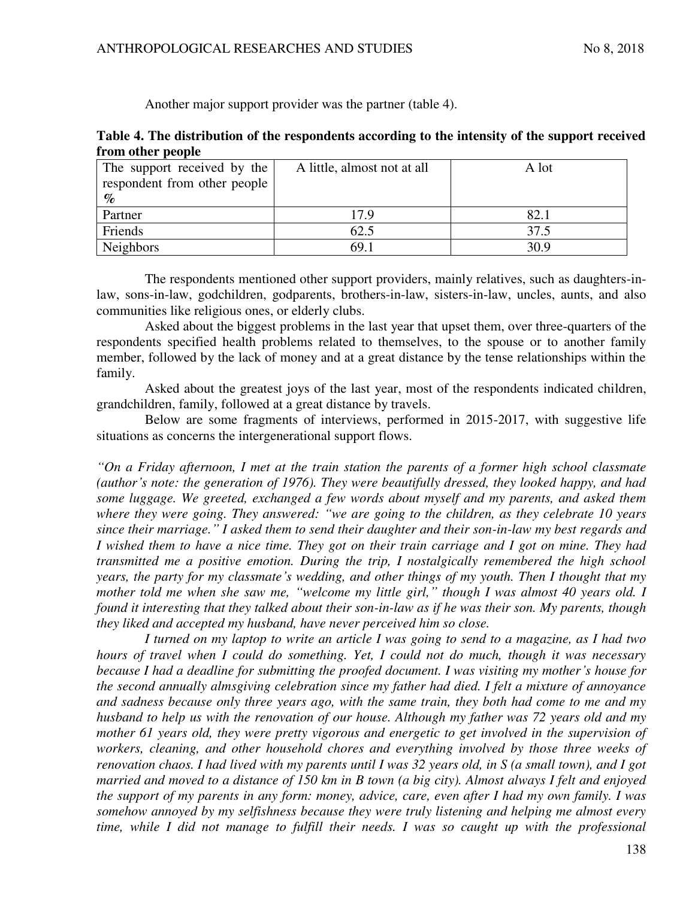Another major support provider was the partner (table 4).

|                   | Table 4. The distribution of the respondents according to the intensity of the support received |  |  |
|-------------------|-------------------------------------------------------------------------------------------------|--|--|
| from other people |                                                                                                 |  |  |

| The support received by the  | A little, almost not at all | A lot |
|------------------------------|-----------------------------|-------|
| respondent from other people |                             |       |
| $\mathcal{O}_{\mathcal{O}}$  |                             |       |
| Partner                      | 17.9                        | 82.1  |
| Friends                      | 62.5                        | 37.5  |
| <b>Neighbors</b>             | 69.1                        | 30.9  |

The respondents mentioned other support providers, mainly relatives, such as daughters-inlaw, sons-in-law, godchildren, godparents, brothers-in-law, sisters-in-law, uncles, aunts, and also communities like religious ones, or elderly clubs.

Asked about the biggest problems in the last year that upset them, over three-quarters of the respondents specified health problems related to themselves, to the spouse or to another family member, followed by the lack of money and at a great distance by the tense relationships within the family.

Asked about the greatest joys of the last year, most of the respondents indicated children, grandchildren, family, followed at a great distance by travels.

Below are some fragments of interviews, performed in 2015-2017, with suggestive life situations as concerns the intergenerational support flows.

*"On a Friday afternoon, I met at the train station the parents of a former high school classmate (author's note: the generation of 1976). They were beautifully dressed, they looked happy, and had some luggage. We greeted, exchanged a few words about myself and my parents, and asked them where they were going. They answered: "we are going to the children, as they celebrate 10 years since their marriage." I asked them to send their daughter and their son-in-law my best regards and I wished them to have a nice time. They got on their train carriage and I got on mine. They had transmitted me a positive emotion. During the trip, I nostalgically remembered the high school years, the party for my classmate's wedding, and other things of my youth. Then I thought that my mother told me when she saw me, "welcome my little girl," though I was almost 40 years old. I found it interesting that they talked about their son-in-law as if he was their son. My parents, though they liked and accepted my husband, have never perceived him so close.* 

*I turned on my laptop to write an article I was going to send to a magazine, as I had two hours of travel when I could do something. Yet, I could not do much, though it was necessary because I had a deadline for submitting the proofed document. I was visiting my mother's house for the second annually almsgiving celebration since my father had died. I felt a mixture of annoyance and sadness because only three years ago, with the same train, they both had come to me and my husband to help us with the renovation of our house. Although my father was 72 years old and my mother 61 years old, they were pretty vigorous and energetic to get involved in the supervision of workers, cleaning, and other household chores and everything involved by those three weeks of renovation chaos. I had lived with my parents until I was 32 years old, in S (a small town), and I got married and moved to a distance of 150 km in B town (a big city). Almost always I felt and enjoyed the support of my parents in any form: money, advice, care, even after I had my own family. I was somehow annoyed by my selfishness because they were truly listening and helping me almost every time, while I did not manage to fulfill their needs. I was so caught up with the professional*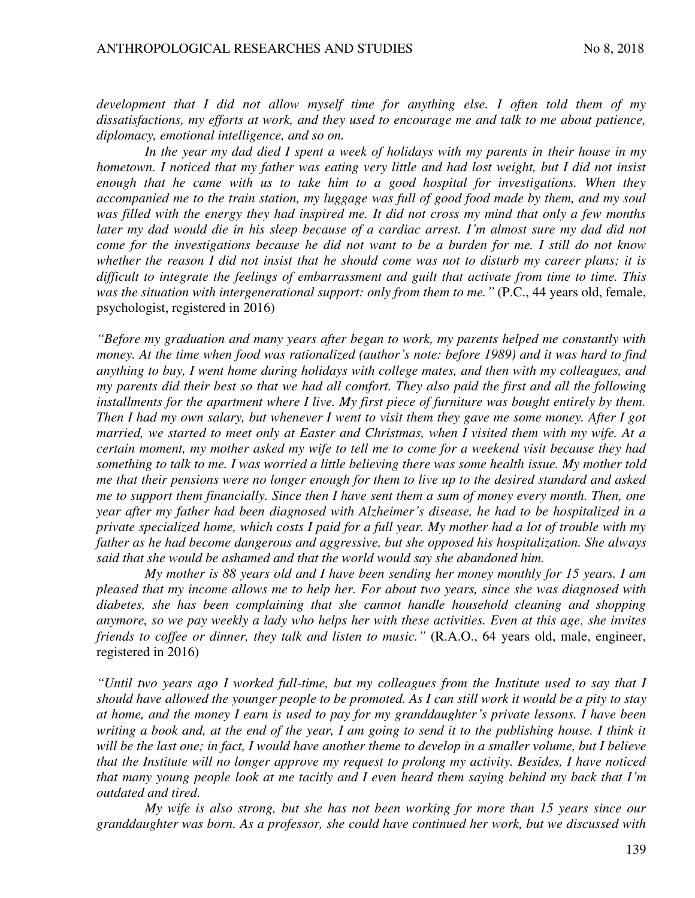*development that I did not allow myself time for anything else. I often told them of my dissatisfactions, my efforts at work, and they used to encourage me and talk to me about patience, diplomacy, emotional intelligence, and so on.* 

*In the year my dad died I spent a week of holidays with my parents in their house in my hometown. I noticed that my father was eating very little and had lost weight, but I did not insist enough that he came with us to take him to a good hospital for investigations. When they accompanied me to the train station, my luggage was full of good food made by them, and my soul was filled with the energy they had inspired me. It did not cross my mind that only a few months later my dad would die in his sleep because of a cardiac arrest. I'm almost sure my dad did not come for the investigations because he did not want to be a burden for me. I still do not know whether the reason I did not insist that he should come was not to disturb my career plans; it is difficult to integrate the feelings of embarrassment and guilt that activate from time to time. This was the situation with intergenerational support: only from them to me."* (P.C., 44 years old, female, psychologist, registered in 2016)

*"Before my graduation and many years after began to work, my parents helped me constantly with money. At the time when food was rationalized (author's note: before 1989) and it was hard to find anything to buy, I went home during holidays with college mates, and then with my colleagues, and my parents did their best so that we had all comfort. They also paid the first and all the following installments for the apartment where I live. My first piece of furniture was bought entirely by them. Then I had my own salary, but whenever I went to visit them they gave me some money. After I got married, we started to meet only at Easter and Christmas, when I visited them with my wife. At a certain moment, my mother asked my wife to tell me to come for a weekend visit because they had something to talk to me. I was worried a little believing there was some health issue. My mother told me that their pensions were no longer enough for them to live up to the desired standard and asked me to support them financially. Since then I have sent them a sum of money every month. Then, one year after my father had been diagnosed with Alzheimer's disease, he had to be hospitalized in a private specialized home, which costs I paid for a full year. My mother had a lot of trouble with my father as he had become dangerous and aggressive, but she opposed his hospitalization. She always said that she would be ashamed and that the world would say she abandoned him.* 

*My mother is 88 years old and I have been sending her money monthly for 15 years. I am pleased that my income allows me to help her. For about two years, since she was diagnosed with diabetes, she has been complaining that she cannot handle household cleaning and shopping anymore, so we pay weekly a lady who helps her with these activities. Even at this age, she invites friends to coffee or dinner, they talk and listen to music."* (R.A.O., 64 years old, male, engineer, registered in 2016)

*"Until two years ago I worked full-time, but my colleagues from the Institute used to say that I should have allowed the younger people to be promoted. As I can still work it would be a pity to stay at home, and the money I earn is used to pay for my granddaughter's private lessons. I have been*  writing a book and, at the end of the year, I am going to send it to the publishing house. I think it *will be the last one; in fact, I would have another theme to develop in a smaller volume, but I believe that the Institute will no longer approve my request to prolong my activity. Besides, I have noticed that many young people look at me tacitly and I even heard them saying behind my back that I'm outdated and tired.* 

*My wife is also strong, but she has not been working for more than 15 years since our granddaughter was born. As a professor, she could have continued her work, but we discussed with*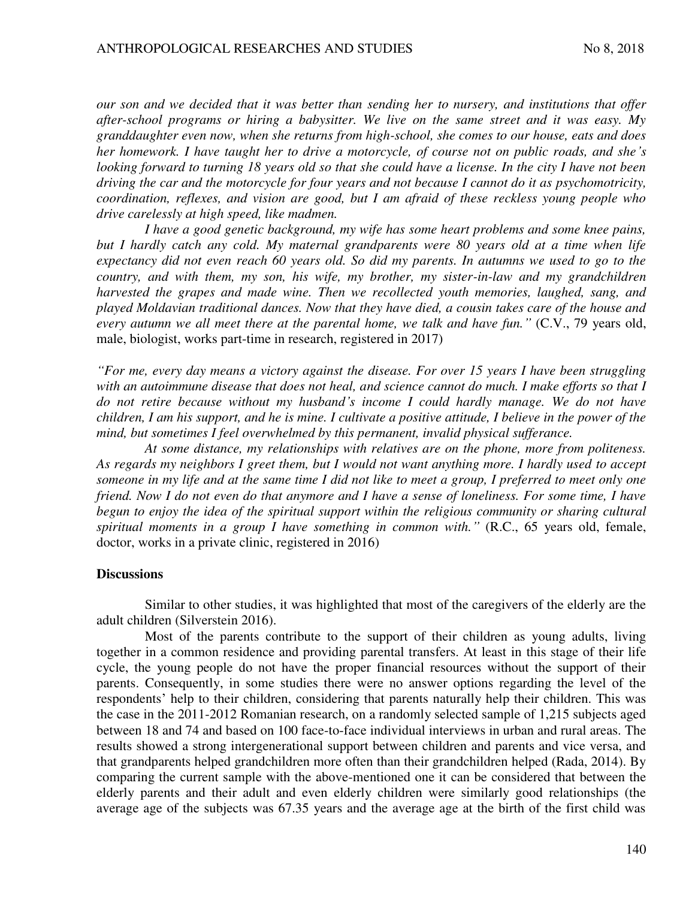*our son and we decided that it was better than sending her to nursery, and institutions that offer after-school programs or hiring a babysitter. We live on the same street and it was easy. My granddaughter even now, when she returns from high-school, she comes to our house, eats and does her homework. I have taught her to drive a motorcycle, of course not on public roads, and she's looking forward to turning 18 years old so that she could have a license. In the city I have not been driving the car and the motorcycle for four years and not because I cannot do it as psychomotricity, coordination, reflexes, and vision are good, but I am afraid of these reckless young people who drive carelessly at high speed, like madmen.* 

*I have a good genetic background, my wife has some heart problems and some knee pains, but I hardly catch any cold. My maternal grandparents were 80 years old at a time when life expectancy did not even reach 60 years old. So did my parents. In autumns we used to go to the country, and with them, my son, his wife, my brother, my sister-in-law and my grandchildren harvested the grapes and made wine. Then we recollected youth memories, laughed, sang, and played Moldavian traditional dances. Now that they have died, a cousin takes care of the house and every autumn we all meet there at the parental home, we talk and have fun."* (C.V., 79 years old, male, biologist, works part-time in research, registered in 2017)

*"For me, every day means a victory against the disease. For over 15 years I have been struggling with an autoimmune disease that does not heal, and science cannot do much. I make efforts so that I do not retire because without my husband's income I could hardly manage. We do not have children, I am his support, and he is mine. I cultivate a positive attitude, I believe in the power of the mind, but sometimes I feel overwhelmed by this permanent, invalid physical sufferance.* 

*At some distance, my relationships with relatives are on the phone, more from politeness. As regards my neighbors I greet them, but I would not want anything more. I hardly used to accept someone in my life and at the same time I did not like to meet a group, I preferred to meet only one friend. Now I do not even do that anymore and I have a sense of loneliness. For some time, I have begun to enjoy the idea of the spiritual support within the religious community or sharing cultural spiritual moments in a group I have something in common with."* (R.C., 65 years old, female, doctor, works in a private clinic, registered in 2016)

#### **Discussions**

Similar to other studies, it was highlighted that most of the caregivers of the elderly are the adult children (Silverstein 2016).

Most of the parents contribute to the support of their children as young adults, living together in a common residence and providing parental transfers. At least in this stage of their life cycle, the young people do not have the proper financial resources without the support of their parents. Consequently, in some studies there were no answer options regarding the level of the respondents' help to their children, considering that parents naturally help their children. This was the case in the 2011-2012 Romanian research, on a randomly selected sample of 1,215 subjects aged between 18 and 74 and based on 100 face-to-face individual interviews in urban and rural areas. The results showed a strong intergenerational support between children and parents and vice versa, and that grandparents helped grandchildren more often than their grandchildren helped (Rada, 2014). By comparing the current sample with the above-mentioned one it can be considered that between the elderly parents and their adult and even elderly children were similarly good relationships (the average age of the subjects was 67.35 years and the average age at the birth of the first child was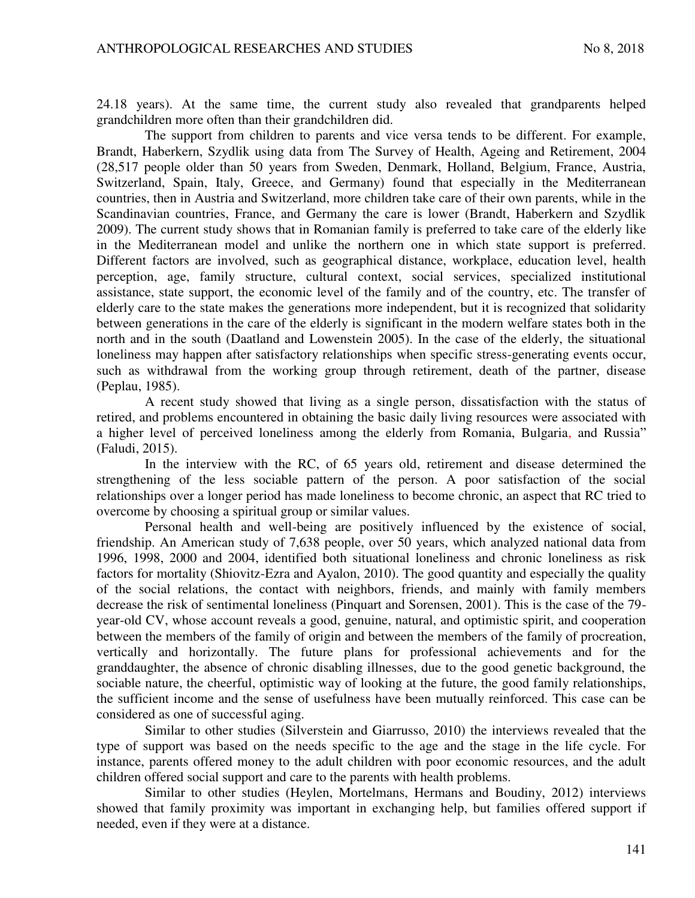24.18 years). At the same time, the current study also revealed that grandparents helped grandchildren more often than their grandchildren did.

The support from children to parents and vice versa tends to be different. For example, Brandt, Haberkern, Szydlik using data from The Survey of Health, Ageing and Retirement, 2004 (28,517 people older than 50 years from Sweden, Denmark, Holland, Belgium, France, Austria, Switzerland, Spain, Italy, Greece, and Germany) found that especially in the Mediterranean countries, then in Austria and Switzerland, more children take care of their own parents, while in the Scandinavian countries, France, and Germany the care is lower (Brandt, Haberkern and Szydlik 2009). The current study shows that in Romanian family is preferred to take care of the elderly like in the Mediterranean model and unlike the northern one in which state support is preferred. Different factors are involved, such as geographical distance, workplace, education level, health perception, age, family structure, cultural context, social services, specialized institutional assistance, state support, the economic level of the family and of the country, etc. The transfer of elderly care to the state makes the generations more independent, but it is recognized that solidarity between generations in the care of the elderly is significant in the modern welfare states both in the north and in the south (Daatland and Lowenstein 2005). In the case of the elderly, the situational loneliness may happen after satisfactory relationships when specific stress-generating events occur, such as withdrawal from the working group through retirement, death of the partner, disease (Peplau, 1985).

A recent study showed that living as a single person, dissatisfaction with the status of retired, and problems encountered in obtaining the basic daily living resources were associated with a higher level of perceived loneliness among the elderly from Romania, Bulgaria, and Russia" (Faludi, 2015).

In the interview with the RC, of 65 years old, retirement and disease determined the strengthening of the less sociable pattern of the person. A poor satisfaction of the social relationships over a longer period has made loneliness to become chronic, an aspect that RC tried to overcome by choosing a spiritual group or similar values.

Personal health and well-being are positively influenced by the existence of social, friendship. An American study of 7,638 people, over 50 years, which analyzed national data from 1996, 1998, 2000 and 2004, identified both situational loneliness and chronic loneliness as risk factors for mortality (Shiovitz-Ezra and Ayalon, 2010). The good quantity and especially the quality of the social relations, the contact with neighbors, friends, and mainly with family members decrease the risk of sentimental loneliness (Pinquart and Sorensen, 2001). This is the case of the 79 year-old CV, whose account reveals a good, genuine, natural, and optimistic spirit, and cooperation between the members of the family of origin and between the members of the family of procreation, vertically and horizontally. The future plans for professional achievements and for the granddaughter, the absence of chronic disabling illnesses, due to the good genetic background, the sociable nature, the cheerful, optimistic way of looking at the future, the good family relationships, the sufficient income and the sense of usefulness have been mutually reinforced. This case can be considered as one of successful aging.

Similar to other studies (Silverstein and Giarrusso, 2010) the interviews revealed that the type of support was based on the needs specific to the age and the stage in the life cycle. For instance, parents offered money to the adult children with poor economic resources, and the adult children offered social support and care to the parents with health problems.

Similar to other studies (Heylen, Mortelmans, Hermans and Boudiny, 2012) interviews showed that family proximity was important in exchanging help, but families offered support if needed, even if they were at a distance.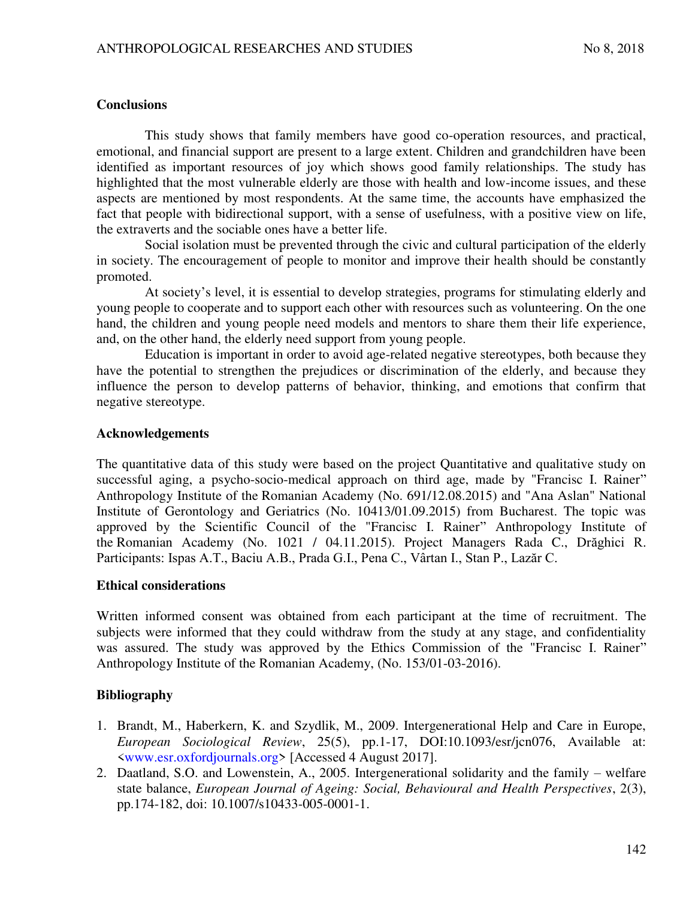## **Conclusions**

This study shows that family members have good co-operation resources, and practical, emotional, and financial support are present to a large extent. Children and grandchildren have been identified as important resources of joy which shows good family relationships. The study has highlighted that the most vulnerable elderly are those with health and low-income issues, and these aspects are mentioned by most respondents. At the same time, the accounts have emphasized the fact that people with bidirectional support, with a sense of usefulness, with a positive view on life, the extraverts and the sociable ones have a better life.

Social isolation must be prevented through the civic and cultural participation of the elderly in society. The encouragement of people to monitor and improve their health should be constantly promoted.

At society's level, it is essential to develop strategies, programs for stimulating elderly and young people to cooperate and to support each other with resources such as volunteering. On the one hand, the children and young people need models and mentors to share them their life experience, and, on the other hand, the elderly need support from young people.

Education is important in order to avoid age-related negative stereotypes, both because they have the potential to strengthen the prejudices or discrimination of the elderly, and because they influence the person to develop patterns of behavior, thinking, and emotions that confirm that negative stereotype.

### **Acknowledgements**

The quantitative data of this study were based on the project Quantitative and qualitative study on successful aging, a psycho-socio-medical approach on third age, made by "Francisc I. Rainer" Anthropology Institute of the Romanian Academy (No. 691/12.08.2015) and "Ana Aslan" National Institute of Gerontology and Geriatrics (No. 10413/01.09.2015) from Bucharest. The topic was approved by the Scientific Council of the "Francisc I. Rainer" Anthropology Institute of the Romanian Academy (No. 1021 / 04.11.2015). Project Managers Rada C., Drăghici R. Participants: Ispas A.T., Baciu A.B., Prada G.I., Pena C., Vârtan I., Stan P., Lazăr C.

### **Ethical considerations**

Written informed consent was obtained from each participant at the time of recruitment. The subjects were informed that they could withdraw from the study at any stage, and confidentiality was assured. The study was approved by the Ethics Commission of the "Francisc I. Rainer" Anthropology Institute of the Romanian Academy, (No. 153/01-03-2016).

### **Bibliography**

- 1. Brandt, M., Haberkern, K. and Szydlik, M., 2009. Intergenerational Help and Care in Europe, *European Sociological Review*, 25(5), pp.1-17, DOI:10.1093/esr/jcn076, Available at: [<www.esr.oxfordjournals.org>](http://www.esr.oxfordjournals.org/) [Accessed 4 August 2017].
- 2. Daatland, S.O. and Lowenstein, A., 2005. Intergenerational solidarity and the family welfare state balance, *European Journal of Ageing: Social, Behavioural and Health Perspectives*, 2(3), pp.174-182, doi: 10.1007/s10433-005-0001-1.